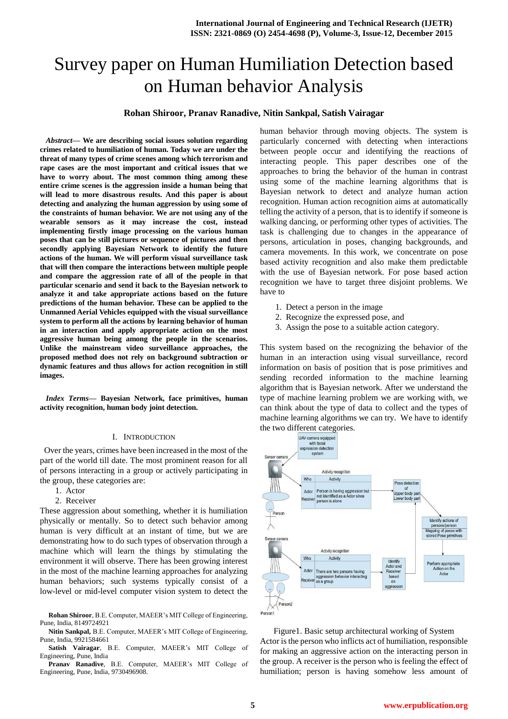# Survey paper on Human Humiliation Detection based on Human behavior Analysis

## **Rohan Shiroor, Pranav Ranadive, Nitin Sankpal, Satish Vairagar**

*Abstract***— We are describing social issues solution regarding crimes related to humiliation of human. Today we are under the threat of many types of crime scenes among which terrorism and rape cases are the most important and critical issues that we have to worry about. The most common thing among these entire crime scenes is the aggression inside a human being that will lead to more disastrous results. And this paper is about detecting and analyzing the human aggression by using some of the constraints of human behavior. We are not using any of the wearable sensors as it may increase the cost, instead implementing firstly image processing on the various human poses that can be still pictures or sequence of pictures and then secondly applying Bayesian Network to identify the future actions of the human. We will perform visual surveillance task that will then compare the interactions between multiple people and compare the aggression rate of all of the people in that particular scenario and send it back to the Bayesian network to analyze it and take appropriate actions based on the future predictions of the human behavior. These can be applied to the Unmanned Aerial Vehicles equipped with the visual surveillance system to perform all the actions by learning behavior of human in an interaction and apply appropriate action on the most aggressive human being among the people in the scenarios. Unlike the mainstream video surveillance approaches, the proposed method does not rely on background subtraction or dynamic features and thus allows for action recognition in still images.**

*Index Terms***— Bayesian Network, face primitives, human activity recognition, human body joint detection.**

#### I. INTRODUCTION

 Over the years, crimes have been increased in the most of the part of the world till date. The most prominent reason for all of persons interacting in a group or actively participating in the group, these categories are:

- 1. Actor
- 2. Receiver

These aggression about something, whether it is humiliation physically or mentally. So to detect such behavior among human is very difficult at an instant of time, but we are demonstrating how to do such types of observation through a machine which will learn the things by stimulating the environment it will observe. There has been growing interest in the most of the machine learning approaches for analyzing human behaviors; such systems typically consist of a low-level or mid-level computer vision system to detect the

**Rohan Shiroor**, B.E. Computer, MAEER's MIT College of Engineering, Pune, India, 8149724921

**Nitin Sankpal,** B.E. Computer, MAEER's MIT College of Engineering, Pune, India, 9921584661

**Satish Vairagar**, B.E. Computer, MAEER's MIT College of Engineering, Pune, India

**Pranav Ranadive**, B.E. Computer, MAEER's MIT College of Engineering, Pune, India, 9730496908.

human behavior through moving objects. The system is particularly concerned with detecting when interactions between people occur and identifying the reactions of interacting people. This paper describes one of the approaches to bring the behavior of the human in contrast using some of the machine learning algorithms that is Bayesian network to detect and analyze human action recognition. Human action recognition aims at automatically telling the activity of a person, that is to identify if someone is walking dancing, or performing other types of activities. The task is challenging due to changes in the appearance of persons, articulation in poses, changing backgrounds, and camera movements. In this work, we concentrate on pose based activity recognition and also make them predictable with the use of Bayesian network. For pose based action recognition we have to target three disjoint problems. We have to

- 1. Detect a person in the image
- 2. Recognize the expressed pose, and
- 3. Assign the pose to a suitable action category.

This system based on the recognizing the behavior of the human in an interaction using visual surveillance, record information on basis of position that is pose primitives and sending recorded information to the machine learning algorithm that is Bayesian network. After we understand the type of machine learning problem we are working with, we can think about the type of data to collect and the types of machine learning algorithms we can try. We have to identify the two different categories.



Figure1. Basic setup architectural working of System Actor is the person who inflicts act of humiliation, responsible for making an aggressive action on the interacting person in the group. A receiver is the person who is feeling the effect of humiliation; person is having somehow less amount of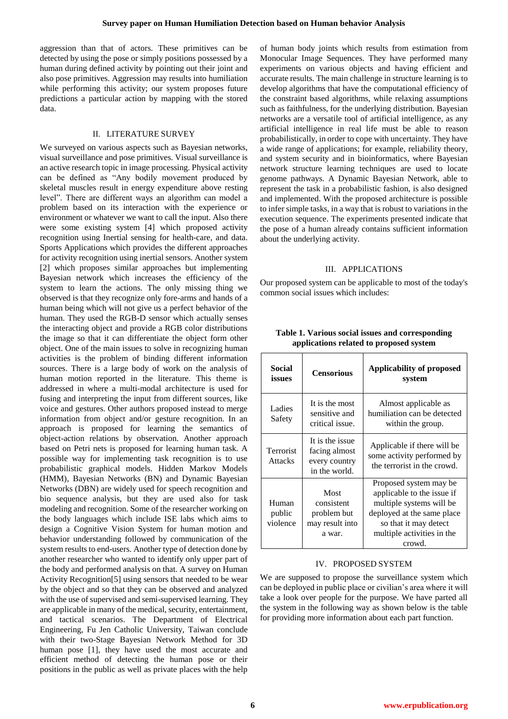aggression than that of actors. These primitives can be detected by using the pose or simply positions possessed by a human during defined activity by pointing out their joint and also pose primitives. Aggression may results into humiliation while performing this activity; our system proposes future predictions a particular action by mapping with the stored data.

#### II. LITERATURE SURVEY

We surveyed on various aspects such as Bayesian networks, visual surveillance and pose primitives. Visual surveillance is an active research topic in image processing. Physical activity can be defined as "Any bodily movement produced by skeletal muscles result in energy expenditure above resting level". There are different ways an algorithm can model a problem based on its interaction with the experience or environment or whatever we want to call the input. Also there were some existing system [4] which proposed activity recognition using Inertial sensing for health-care, and data. Sports Applications which provides the different approaches for activity recognition using inertial sensors. Another system [2] which proposes similar approaches but implementing Bayesian network which increases the efficiency of the system to learn the actions. The only missing thing we observed is that they recognize only fore-arms and hands of a human being which will not give us a perfect behavior of the human. They used the RGB-D sensor which actually senses the interacting object and provide a RGB color distributions the image so that it can differentiate the object form other object. One of the main issues to solve in recognizing human activities is the problem of binding different information sources. There is a large body of work on the analysis of human motion reported in the literature. This theme is addressed in where a multi-modal architecture is used for fusing and interpreting the input from different sources, like voice and gestures. Other authors proposed instead to merge information from object and/or gesture recognition. In an approach is proposed for learning the semantics of object-action relations by observation. Another approach based on Petri nets is proposed for learning human task. A possible way for implementing task recognition is to use probabilistic graphical models. Hidden Markov Models (HMM), Bayesian Networks (BN) and Dynamic Bayesian Networks (DBN) are widely used for speech recognition and bio sequence analysis, but they are used also for task modeling and recognition. Some of the researcher working on the body languages which include ISE labs which aims to design a Cognitive Vision System for human motion and behavior understanding followed by communication of the system results to end-users. Another type of detection done by another researcher who wanted to identify only upper part of the body and performed analysis on that. A survey on Human Activity Recognition[5] using sensors that needed to be wear by the object and so that they can be observed and analyzed with the use of supervised and semi-supervised learning. They are applicable in many of the medical, security, entertainment, and tactical scenarios. The Department of Electrical Engineering, Fu Jen Catholic University, Taiwan conclude with their two-Stage Bayesian Network Method for 3D human pose [1], they have used the most accurate and efficient method of detecting the human pose or their positions in the public as well as private places with the help

of human body joints which results from estimation from Monocular Image Sequences. They have performed many experiments on various objects and having efficient and accurate results. The main challenge in structure learning is to develop algorithms that have the computational efficiency of the constraint based algorithms, while relaxing assumptions such as faithfulness, for the underlying distribution. Bayesian networks are a versatile tool of artificial intelligence, as any artificial intelligence in real life must be able to reason probabilistically, in order to cope with uncertainty. They have a wide range of applications; for example, reliability theory, and system security and in bioinformatics, where Bayesian network structure learning techniques are used to locate genome pathways. A Dynamic Bayesian Network, able to represent the task in a probabilistic fashion, is also designed and implemented. With the proposed architecture is possible to infer simple tasks, in a way that is robust to variations in the execution sequence. The experiments presented indicate that the pose of a human already contains sufficient information about the underlying activity.

#### III. APPLICATIONS

Our proposed system can be applicable to most of the today's common social issues which includes:

| <b>Social</b><br>issues     | <b>Censorious</b>                                                  | Applicability of proposed<br>system                                                                                                                                             |
|-----------------------------|--------------------------------------------------------------------|---------------------------------------------------------------------------------------------------------------------------------------------------------------------------------|
| Ladies<br>Safety            | It is the most<br>sensitive and<br>critical issue.                 | Almost applicable as<br>humiliation can be detected<br>within the group.                                                                                                        |
| Terrorist<br><b>Attacks</b> | It is the issue<br>facing almost<br>every country<br>in the world. | Applicable if there will be<br>some activity performed by<br>the terrorist in the crowd.                                                                                        |
| Human<br>public<br>violence | Most<br>consistent<br>problem but<br>may result into<br>a war.     | Proposed system may be<br>applicable to the issue if<br>multiple systems will be<br>deployed at the same place<br>so that it may detect<br>multiple activities in the<br>crowd. |

**Table 1. Various social issues and corresponding applications related to proposed system**

#### IV. PROPOSED SYSTEM

We are supposed to propose the surveillance system which can be deployed in public place or civilian's area where it will take a look over people for the purpose. We have parted all the system in the following way as shown below is the table for providing more information about each part function.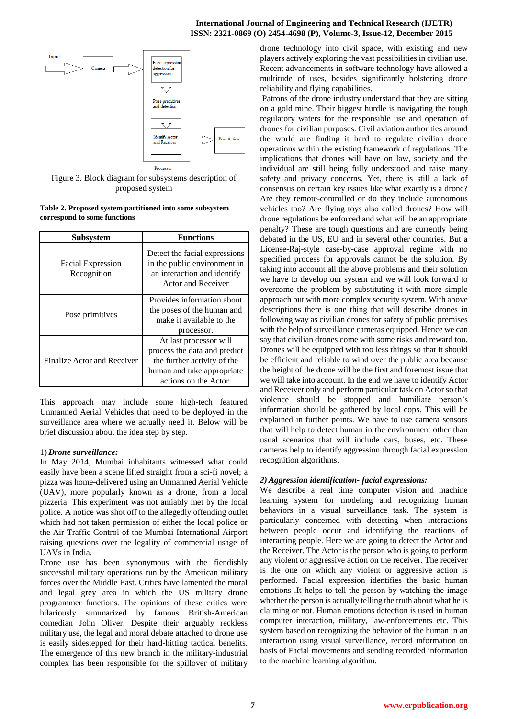## **International Journal of Engineering and Technical Research (IJETR) ISSN: 2321-0869 (O) 2454-4698 (P), Volume-3, Issue-12, December 2015**



Figure 3. Block diagram for subsystems description of proposed system

| Table 2. Proposed system partitioned into some subsystem |  |
|----------------------------------------------------------|--|
| correspond to some functions                             |  |

| <b>Subsystem</b>                        | <b>Functions</b>                                                                                                                             |  |
|-----------------------------------------|----------------------------------------------------------------------------------------------------------------------------------------------|--|
| <b>Facial Expression</b><br>Recognition | Detect the facial expressions<br>in the public environment in<br>an interaction and identify<br>Actor and Receiver                           |  |
| Pose primitives                         | Provides information about<br>the poses of the human and<br>make it available to the<br>processor.                                           |  |
| Finalize Actor and Receiver             | At last processor will<br>process the data and predict<br>the further activity of the<br>human and take appropriate<br>actions on the Actor. |  |

This approach may include some high-tech featured Unmanned Aerial Vehicles that need to be deployed in the surveillance area where we actually need it. Below will be brief discussion about the idea step by step.

## 1) *Drone surveillance:*

In May 2014, Mumbai inhabitants witnessed what could easily have been a scene lifted straight from a sci-fi novel; a pizza was home-delivered using an Unmanned Aerial Vehicle (UAV), more popularly known as a drone, from a local pizzeria. This experiment was not amiably met by the local police. A notice was shot off to the allegedly offending outlet which had not taken permission of either the local police or the Air Traffic Control of the Mumbai International Airport raising questions over the legality of commercial usage of UAVs in India.

Drone use has been synonymous with the fiendishly successful military operations run by the American military forces over the Middle East. Critics have lamented the moral and legal grey area in which the US military drone programmer functions. The opinions of these critics were hilariously summarized by famous British-American comedian John Oliver. Despite their arguably reckless military use, the legal and moral debate attached to drone use is easily sidestepped for their hard-hitting tactical benefits. The emergence of this new branch in the military-industrial complex has been responsible for the spillover of military drone technology into civil space, with existing and new players actively exploring the vast possibilities in civilian use. Recent advancements in software technology have allowed a multitude of uses, besides significantly bolstering drone reliability and flying capabilities.

Patrons of the drone industry understand that they are sitting on a gold mine. Their biggest hurdle is navigating the tough regulatory waters for the responsible use and operation of drones for civilian purposes. Civil aviation authorities around the world are finding it hard to regulate civilian drone operations within the existing framework of regulations. The implications that drones will have on law, society and the individual are still being fully understood and raise many safety and privacy concerns. Yet, there is still a lack of consensus on certain key issues like what exactly is a drone? Are they remote-controlled or do they include autonomous vehicles too? Are flying toys also called drones? How will drone regulations be enforced and what will be an appropriate penalty? These are tough questions and are currently being debated in the US, EU and in several other countries. But a License-Raj-style case-by-case approval regime with no specified process for approvals cannot be the solution. By taking into account all the above problems and their solution we have to develop our system and we will look forward to overcome the problem by substituting it with more simple approach but with more complex security system. With above descriptions there is one thing that will describe drones in following way as civilian drones for safety of public premises with the help of surveillance cameras equipped. Hence we can say that civilian drones come with some risks and reward too. Drones will be equipped with too less things so that it should be efficient and reliable to wind over the public area because the height of the drone will be the first and foremost issue that we will take into account. In the end we have to identify Actor and Receiver only and perform particular task on Actor so that violence should be stopped and humiliate person's information should be gathered by local cops. This will be explained in further points. We have to use camera sensors that will help to detect human in the environment other than usual scenarios that will include cars, buses, etc. These cameras help to identify aggression through facial expression recognition algorithms.

## *2) Aggression identification- facial expressions:*

We describe a real time computer vision and machine learning system for modeling and recognizing human behaviors in a visual surveillance task. The system is particularly concerned with detecting when interactions between people occur and identifying the reactions of interacting people. Here we are going to detect the Actor and the Receiver. The Actor is the person who is going to perform any violent or aggressive action on the receiver. The receiver is the one on which any violent or aggressive action is performed. Facial expression identifies the basic human emotions .It helps to tell the person by watching the image whether the person is actually telling the truth about what he is claiming or not. Human emotions detection is used in human computer interaction, military, law-enforcements etc. This system based on recognizing the behavior of the human in an interaction using visual surveillance, record information on basis of Facial movements and sending recorded information to the machine learning algorithm.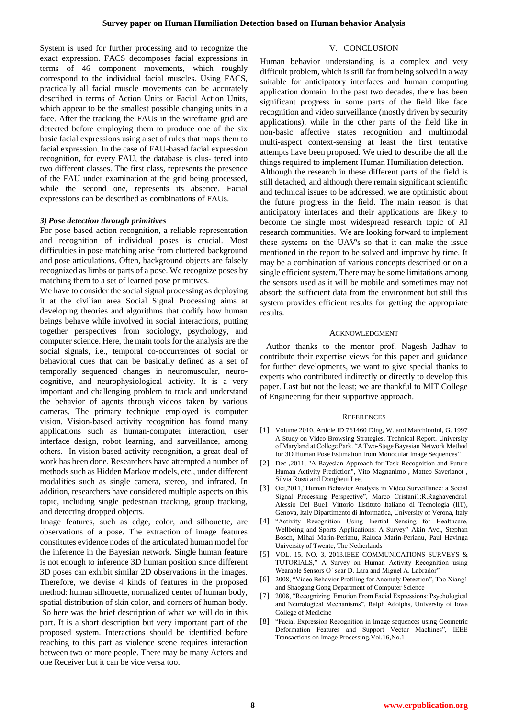System is used for further processing and to recognize the exact expression. FACS decomposes facial expressions in terms of 46 component movements, which roughly correspond to the individual facial muscles. Using FACS, practically all facial muscle movements can be accurately described in terms of Action Units or Facial Action Units, which appear to be the smallest possible changing units in a face. After the tracking the FAUs in the wireframe grid are detected before employing them to produce one of the six basic facial expressions using a set of rules that maps them to facial expression. In the case of FAU-based facial expression recognition, for every FAU, the database is clus- tered into two different classes. The first class, represents the presence of the FAU under examination at the grid being processed, while the second one, represents its absence. Facial expressions can be described as combinations of FAUs.

## *3) Pose detection through primitives*

For pose based action recognition, a reliable representation and recognition of individual poses is crucial. Most difficulties in pose matching arise from cluttered background and pose articulations. Often, background objects are falsely recognized as limbs or parts of a pose. We recognize poses by matching them to a set of learned pose primitives.

We have to consider the social signal processing as deploying it at the civilian area Social Signal Processing aims at developing theories and algorithms that codify how human beings behave while involved in social interactions, putting together perspectives from sociology, psychology, and computer science. Here, the main tools for the analysis are the social signals, i.e., temporal co-occurrences of social or behavioral cues that can be basically defined as a set of temporally sequenced changes in neuromuscular, neurocognitive, and neurophysiological activity. It is a very important and challenging problem to track and understand the behavior of agents through videos taken by various cameras. The primary technique employed is computer vision. Vision-based activity recognition has found many applications such as human-computer interaction, user interface design, robot learning, and surveillance, among others. In vision-based activity recognition, a great deal of work has been done. Researchers have attempted a number of methods such as Hidden Markov models, etc., under different modalities such as single camera, stereo, and infrared. In addition, researchers have considered multiple aspects on this topic, including single pedestrian tracking, group tracking, and detecting dropped objects.

Image features, such as edge, color, and silhouette, are observations of a pose. The extraction of image features constitutes evidence nodes of the articulated human model for the inference in the Bayesian network. Single human feature is not enough to inference 3D human position since different 3D poses can exhibit similar 2D observations in the images. Therefore, we devise 4 kinds of features in the proposed method: human silhouette, normalized center of human body, spatial distribution of skin color, and corners of human body. So here was the brief description of what we will do in this part. It is a short description but very important part of the proposed system. Interactions should be identified before reaching to this part as violence scene requires interaction between two or more people. There may be many Actors and one Receiver but it can be vice versa too.

## V. CONCLUSION

Human behavior understanding is a complex and very difficult problem, which is still far from being solved in a way suitable for anticipatory interfaces and human computing application domain. In the past two decades, there has been significant progress in some parts of the field like face recognition and video surveillance (mostly driven by security applications), while in the other parts of the field like in non-basic affective states recognition and multimodal multi-aspect context-sensing at least the first tentative attempts have been proposed. We tried to describe the all the things required to implement Human Humiliation detection. Although the research in these different parts of the field is still detached, and although there remain significant scientific and technical issues to be addressed, we are optimistic about the future progress in the field. The main reason is that anticipatory interfaces and their applications are likely to become the single most widespread research topic of AI research communities. We are looking forward to implement these systems on the UAV's so that it can make the issue mentioned in the report to be solved and improve by time. It may be a combination of various concepts described or on a single efficient system. There may be some limitations among the sensors used as it will be mobile and sometimes may not absorb the sufficient data from the environment but still this system provides efficient results for getting the appropriate results.

#### ACKNOWLEDGMENT

Author thanks to the mentor prof. Nagesh Jadhav to contribute their expertise views for this paper and guidance for further developments, we want to give special thanks to experts who contributed indirectly or directly to develop this paper. Last but not the least; we are thankful to MIT College of Engineering for their supportive approach.

#### **REFERENCES**

- [1] Volume 2010, Article ID 761460 Ding, W. and Marchionini, G. 1997 A Study on Video Browsing Strategies. Technical Report. University of Maryland at College Park. "A Two-Stage Bayesian Network Method for 3D Human Pose Estimation from Monocular Image Sequences"
- [2] Dec ,2011, "A Bayesian Approach for Task Recognition and Future Human Activity Prediction", Vito Magnanimo , Matteo Saverianot , Silvia Rossi and Dongheui Leet
- [3] Oct,2011,"Human Behavior Analysis in Video Surveillance: a Social Signal Processing Perspective", Marco Cristani1;R.Raghavendra1 Alessio Del Bue1 Vittorio 1Istituto Italiano di Tecnologia (IIT), Genova, Italy Dipartimento di Informatica, University of Verona, Italy
- [4] "Activity Recognition Using Inertial Sensing for Healthcare, Wellbeing and Sports Applications: A Survey" Akin Avci, Stephan Bosch, Mihai Marin-Perianu, Raluca Marin-Perianu, Paul Havinga University of Twente, The Netherlands
- [5] VOL. 15, NO. 3, 2013,IEEE COMMUNICATIONS SURVEYS & TUTORIALS," A Survey on Human Activity Recognition using Wearable Sensors O´ scar D. Lara and Miguel A. Labrador"
- [6] 2008, "Video Behavior Profiling for Anomaly Detection", Tao Xiang1 and Shaogang Gong Department of Computer Science
- [7] 2008, "Recognizing Emotion From Facial Expressions: Psychological and Neurological Mechanisms", Ralph Adolphs, University of Iowa College of Medicine
- [8] "Facial Expression Recognition in Image sequences using Geometric Deformation Features and Support Vector Machines", IEEE Transactions on Image Processing,Vol.16,No.1